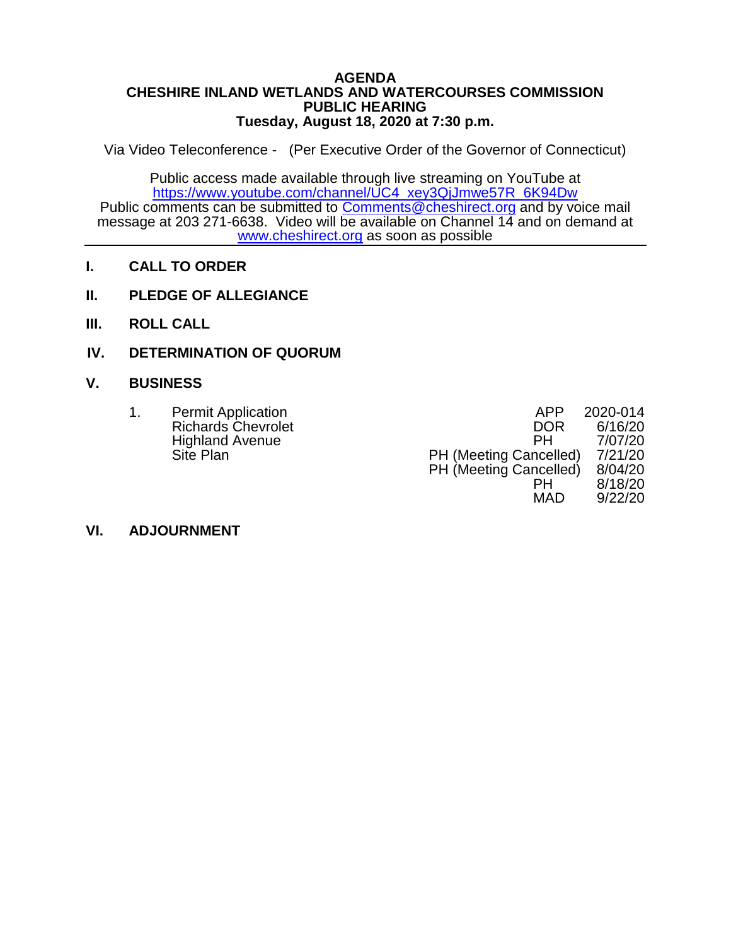#### **AGENDA CHESHIRE INLAND WETLANDS AND WATERCOURSES COMMISSION PUBLIC HEARING Tuesday, August 18, 2020 at 7:30 p.m.**

Via Video Teleconference - (Per Executive Order of the Governor of Connecticut)

Public access made available through live streaming on YouTube at [https://www.youtube.com/channel/UC4\\_xey3QjJmwe57R\\_6K94Dw](https://www.youtube.com/channel/UC4_xey3QjJmwe57R_6K94Dw) Public comments can be submitted to [Comments@cheshirect.org](mailto:Comments@cheshirect.org) and by voice mail message at 203 271-6638. Video will be available on Channel 14 and on demand at [www.cheshirect.org](http://www.cheshirect.org/) as soon as possible

- **I. CALL TO ORDER**
- **II. PLEDGE OF ALLEGIANCE**
- **III. ROLL CALL**
- **IV. DETERMINATION OF QUORUM**

## **V. BUSINESS**

| <b>Permit Application</b> | APP                           | 2020-014 |
|---------------------------|-------------------------------|----------|
| <b>Richards Chevrolet</b> | <b>DOR</b>                    | 6/16/20  |
| <b>Highland Avenue</b>    | PН                            | 7/07/20  |
| Site Plan                 | PH (Meeting Cancelled)        | 7/21/20  |
|                           | <b>PH</b> (Meeting Cancelled) | 8/04/20  |
|                           | PН                            | 8/18/20  |

MAD 9/22/20

## **VI. ADJOURNMENT**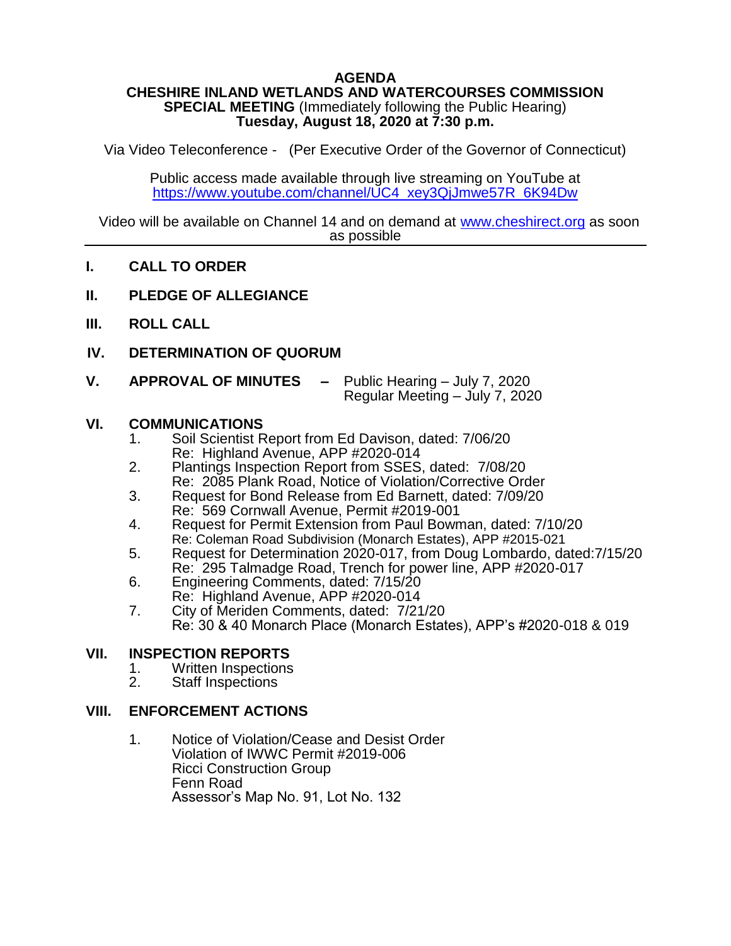## **AGENDA**

#### **CHESHIRE INLAND WETLANDS AND WATERCOURSES COMMISSION SPECIAL MEETING** (Immediately following the Public Hearing) **Tuesday, August 18, 2020 at 7:30 p.m.**

Via Video Teleconference - (Per Executive Order of the Governor of Connecticut)

Public access made available through live streaming on YouTube at [https://www.youtube.com/channel/UC4\\_xey3QjJmwe57R\\_6K94Dw](https://www.youtube.com/channel/UC4_xey3QjJmwe57R_6K94Dw)

Video will be available on Channel 14 and on demand at [www.cheshirect.org](http://www.cheshirect.org/) as soon as possible

## **I. CALL TO ORDER**

- **II. PLEDGE OF ALLEGIANCE**
- **III. ROLL CALL**
- **IV. DETERMINATION OF QUORUM**
- **V. APPROVAL OF MINUTES –** Public Hearing July 7, 2020 Regular Meeting – July 7, 2020

### **VI. COMMUNICATIONS**

- 1. Soil Scientist Report from Ed Davison, dated: 7/06/20 Re: Highland Avenue, APP #2020-014
- 2. Plantings Inspection Report from SSES, dated: 7/08/20 Re: 2085 Plank Road, Notice of Violation/Corrective Order
- 3. Request for Bond Release from Ed Barnett, dated: 7/09/20 Re: 569 Cornwall Avenue, Permit #2019-001
- 4. Request for Permit Extension from Paul Bowman, dated: 7/10/20 Re: Coleman Road Subdivision (Monarch Estates), APP #2015-021
- 5. Request for Determination 2020-017, from Doug Lombardo, dated:7/15/20 Re: 295 Talmadge Road, Trench for power line, APP #2020-017
- 6. Engineering Comments, dated: 7/15/20 Re: Highland Avenue, APP #2020-014
- 7. City of Meriden Comments, dated: 7/21/20
- Re: 30 & 40 Monarch Place (Monarch Estates), APP's #2020-018 & 019

### **VII. INSPECTION REPORTS**

- 1. Written Inspections<br>2. Staff Inspections
- Staff Inspections

## **VIII. ENFORCEMENT ACTIONS**

1. Notice of Violation/Cease and Desist Order Violation of IWWC Permit #2019-006 Ricci Construction Group Fenn Road Assessor's Map No. 91, Lot No. 132